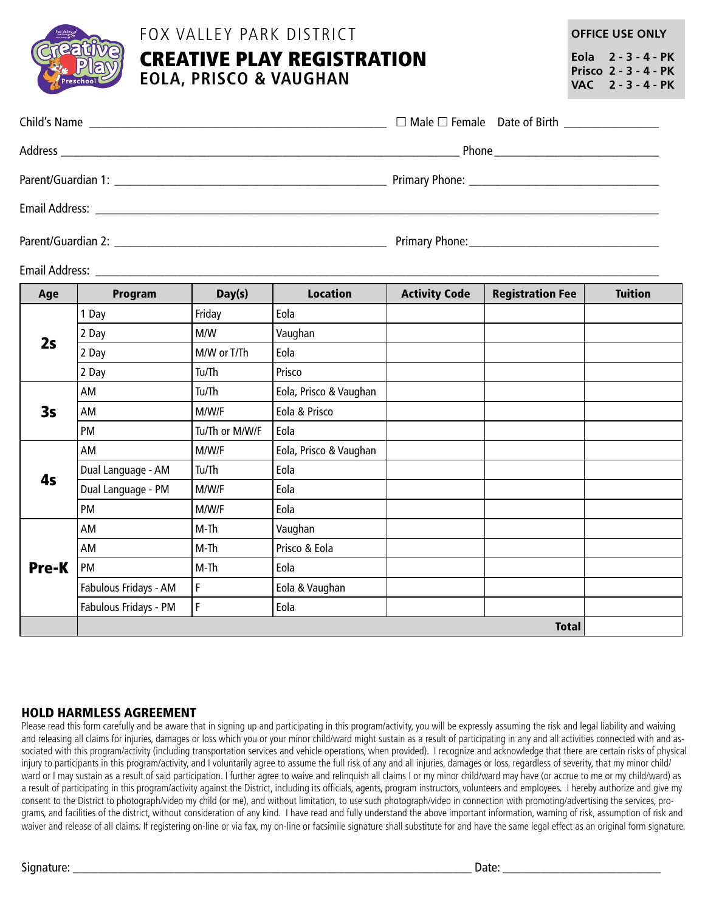

### FOX VALLEY PARK DISTRICT

# CREATIVE PLAY REGISTRATION **EOLA, PRISCO & VAUGHAN**

**OFFICE USE ONLY**

**Eola 2 - 3 - 4 - PK Prisco 2 - 3 - 4 - PK VAC 2 - 3 - 4 - PK**

Email Address: \_\_\_\_\_\_\_\_\_\_\_\_\_\_\_\_\_\_\_\_\_\_\_\_\_\_\_\_\_\_\_\_\_\_\_\_\_\_\_\_\_\_\_\_\_\_\_\_\_\_\_\_\_\_\_\_\_\_\_\_\_\_\_\_\_\_\_\_\_\_\_\_\_\_\_\_\_\_\_\_\_\_\_\_\_\_\_\_\_

| Age          | Program               | Day(s)         | <b>Location</b>        | <b>Activity Code</b> | <b>Registration Fee</b> | <b>Tuition</b> |
|--------------|-----------------------|----------------|------------------------|----------------------|-------------------------|----------------|
| 2s           | Day                   | Friday         | Eola                   |                      |                         |                |
|              | 2 Day                 | M/W            | Vaughan                |                      |                         |                |
|              | 2 Day                 | M/W or T/Th    | Eola                   |                      |                         |                |
|              | 2 Day                 | Tu/Th          | Prisco                 |                      |                         |                |
| 3s           | AM                    | Tu/Th          | Eola, Prisco & Vaughan |                      |                         |                |
|              | AM                    | M/W/F          | Eola & Prisco          |                      |                         |                |
|              | PM                    | Tu/Th or M/W/F | Eola                   |                      |                         |                |
| 4s           | AM                    | M/W/F          | Eola, Prisco & Vaughan |                      |                         |                |
|              | Dual Language - AM    | Tu/Th          | Eola                   |                      |                         |                |
|              | Dual Language - PM    | M/W/F          | Eola                   |                      |                         |                |
|              | PM                    | M/W/F          | Eola                   |                      |                         |                |
| <b>Pre-K</b> | AM                    | $M-Th$         | Vaughan                |                      |                         |                |
|              | AM                    | M-Th           | Prisco & Eola          |                      |                         |                |
|              | PM                    | M-Th           | Eola                   |                      |                         |                |
|              | Fabulous Fridays - AM | F              | Eola & Vaughan         |                      |                         |                |
|              | Fabulous Fridays - PM | F              | Eola                   |                      |                         |                |
|              | <b>Total</b>          |                |                        |                      |                         |                |

### HOLD HARMLESS AGREEMENT

Please read this form carefully and be aware that in signing up and participating in this program/activity, you will be expressly assuming the risk and legal liability and waiving and releasing all claims for injuries, damages or loss which you or your minor child/ward might sustain as a result of participating in any and all activities connected with and associated with this program/activity (including transportation services and vehicle operations, when provided). I recognize and acknowledge that there are certain risks of physical injury to participants in this program/activity, and I voluntarily agree to assume the full risk of any and all injuries, damages or loss, regardless of severity, that my minor child/ ward or I may sustain as a result of said participation. I further agree to waive and relinquish all claims I or my minor child/ward may have (or accrue to me or my child/ward) as a result of participating in this program/activity against the District, including its officials, agents, program instructors, volunteers and employees. I hereby authorize and give my consent to the District to photograph/video my child (or me), and without limitation, to use such photograph/video in connection with promoting/advertising the services, programs, and facilities of the district, without consideration of any kind. I have read and fully understand the above important information, warning of risk, assumption of risk and waiver and release of all claims. If registering on-line or via fax, my on-line or facsimile signature shall substitute for and have the same legal effect as an original form signature.